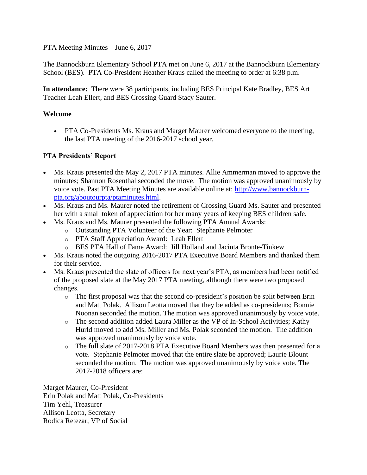PTA Meeting Minutes – June 6, 2017

The Bannockburn Elementary School PTA met on June 6, 2017 at the Bannockburn Elementary School (BES). PTA Co-President Heather Kraus called the meeting to order at 6:38 p.m.

**In attendance:** There were 38 participants, including BES Principal Kate Bradley, BES Art Teacher Leah Ellert, and BES Crossing Guard Stacy Sauter.

## **Welcome**

• PTA Co-Presidents Ms. Kraus and Marget Maurer welcomed everyone to the meeting, the last PTA meeting of the 2016-2017 school year.

## PT**A Presidents' Report**

- Ms. Kraus presented the May 2, 2017 PTA minutes. Allie Ammerman moved to approve the minutes; Shannon Rosenthal seconded the move. The motion was approved unanimously by voice vote. Past PTA Meeting Minutes are available online at: [http://www.bannockburn](http://www.bannockburn-pta.org/aboutourpta/ptaminutes.html)[pta.org/aboutourpta/ptaminutes.html.](http://www.bannockburn-pta.org/aboutourpta/ptaminutes.html)
- Ms. Kraus and Ms. Maurer noted the retirement of Crossing Guard Ms. Sauter and presented her with a small token of appreciation for her many years of keeping BES children safe.
- Ms. Kraus and Ms. Maurer presented the following PTA Annual Awards:
	- o Outstanding PTA Volunteer of the Year: Stephanie Pelmoter
	- o PTA Staff Appreciation Award: Leah Ellert
	- o BES PTA Hall of Fame Award: Jill Holland and Jacinta Bronte-Tinkew
- Ms. Kraus noted the outgoing 2016-2017 PTA Executive Board Members and thanked them for their service.
- Ms. Kraus presented the slate of officers for next year's PTA, as members had been notified of the proposed slate at the May 2017 PTA meeting, although there were two proposed changes.
	- o The first proposal was that the second co-president's position be split between Erin and Matt Polak. Allison Leotta moved that they be added as co-presidents; Bonnie Noonan seconded the motion. The motion was approved unanimously by voice vote.
	- o The second addition added Laura Miller as the VP of In-School Activities; Kathy Hurld moved to add Ms. Miller and Ms. Polak seconded the motion. The addition was approved unanimously by voice vote.
	- o The full slate of 2017-2018 PTA Executive Board Members was then presented for a vote. Stephanie Pelmoter moved that the entire slate be approved; Laurie Blount seconded the motion. The motion was approved unanimously by voice vote. The 2017-2018 officers are:

Marget Maurer, Co-President Erin Polak and Matt Polak, Co-Presidents Tim Yehl, Treasurer Allison Leotta, Secretary Rodica Retezar, VP of Social